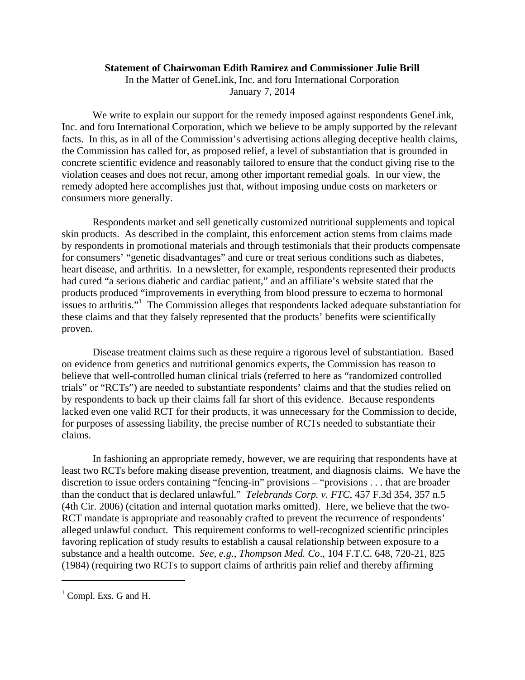## **Statement of Chairwoman Edith Ramirez and Commissioner Julie Brill**

In the Matter of GeneLink, Inc. and foru International Corporation January 7, 2014

We write to explain our support for the remedy imposed against respondents GeneLink, Inc. and foru International Corporation, which we believe to be amply supported by the relevant facts. In this, as in all of the Commission's advertising actions alleging deceptive health claims, the Commission has called for, as proposed relief, a level of substantiation that is grounded in concrete scientific evidence and reasonably tailored to ensure that the conduct giving rise to the violation ceases and does not recur, among other important remedial goals. In our view, the remedy adopted here accomplishes just that, without imposing undue costs on marketers or consumers more generally.

Respondents market and sell genetically customized nutritional supplements and topical skin products. As described in the complaint, this enforcement action stems from claims made by respondents in promotional materials and through testimonials that their products compensate for consumers' "genetic disadvantages" and cure or treat serious conditions such as diabetes, heart disease, and arthritis. In a newsletter, for example, respondents represented their products had cured "a serious diabetic and cardiac patient," and an affiliate's website stated that the products produced "improvements in everything from blood pressure to eczema to hormonal issues to arthritis."<sup>1</sup> The Commission alleges that respondents lacked adequate substantiation for these claims and that they falsely represented that the products' benefits were scientifically proven.

Disease treatment claims such as these require a rigorous level of substantiation. Based on evidence from genetics and nutritional genomics experts, the Commission has reason to believe that well-controlled human clinical trials (referred to here as "randomized controlled trials" or "RCTs") are needed to substantiate respondents' claims and that the studies relied on by respondents to back up their claims fall far short of this evidence. Because respondents lacked even one valid RCT for their products, it was unnecessary for the Commission to decide, for purposes of assessing liability, the precise number of RCTs needed to substantiate their claims.

In fashioning an appropriate remedy, however, we are requiring that respondents have at least two RCTs before making disease prevention, treatment, and diagnosis claims. We have the discretion to issue orders containing "fencing-in" provisions – "provisions . . . that are broader than the conduct that is declared unlawful." *Telebrands Corp. v. FTC*, 457 F.3d 354, 357 n.5 (4th Cir. 2006) (citation and internal quotation marks omitted). Here, we believe that the two-RCT mandate is appropriate and reasonably crafted to prevent the recurrence of respondents' alleged unlawful conduct. This requirement conforms to well-recognized scientific principles favoring replication of study results to establish a causal relationship between exposure to a substance and a health outcome. *See, e.g*., *Thompson Med. Co*., 104 F.T.C. 648, 720-21, 825 (1984) (requiring two RCTs to support claims of arthritis pain relief and thereby affirming

<sup>&</sup>lt;sup>1</sup> Compl. Exs. G and H.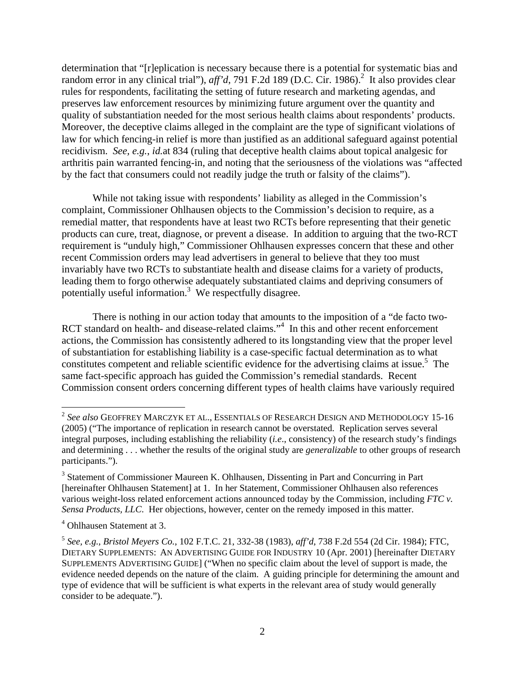determination that "[r]eplication is necessary because there is a potential for systematic bias and random error in any clinical trial"), *aff'd*, 791 F.2d 189 (D.C. Cir. 1986).<sup>2</sup> It also provides clear rules for respondents, facilitating the setting of future research and marketing agendas, and preserves law enforcement resources by minimizing future argument over the quantity and quality of substantiation needed for the most serious health claims about respondents' products. Moreover, the deceptive claims alleged in the complaint are the type of significant violations of law for which fencing-in relief is more than justified as an additional safeguard against potential recidivism. *See, e.g.*, *id.*at 834 (ruling that deceptive health claims about topical analgesic for arthritis pain warranted fencing-in, and noting that the seriousness of the violations was "affected by the fact that consumers could not readily judge the truth or falsity of the claims").

While not taking issue with respondents' liability as alleged in the Commission's complaint, Commissioner Ohlhausen objects to the Commission's decision to require, as a remedial matter, that respondents have at least two RCTs before representing that their genetic products can cure, treat, diagnose, or prevent a disease. In addition to arguing that the two-RCT requirement is "unduly high," Commissioner Ohlhausen expresses concern that these and other recent Commission orders may lead advertisers in general to believe that they too must invariably have two RCTs to substantiate health and disease claims for a variety of products, leading them to forgo otherwise adequately substantiated claims and depriving consumers of potentially useful information.<sup>3</sup> We respectfully disagree.

There is nothing in our action today that amounts to the imposition of a "de facto two-RCT standard on health- and disease-related claims."<sup>4</sup> In this and other recent enforcement actions, the Commission has consistently adhered to its longstanding view that the proper level of substantiation for establishing liability is a case-specific factual determination as to what constitutes competent and reliable scientific evidence for the advertising claims at issue.<sup>5</sup> The same fact-specific approach has guided the Commission's remedial standards. Recent Commission consent orders concerning different types of health claims have variously required

<sup>2</sup> *See also* GEOFFREY MARCZYK ET AL., ESSENTIALS OF RESEARCH DESIGN AND METHODOLOGY 15-16 (2005) ("The importance of replication in research cannot be overstated. Replication serves several integral purposes, including establishing the reliability (*i.e*., consistency) of the research study's findings and determining . . . whether the results of the original study are *generalizable* to other groups of research participants.").

<sup>&</sup>lt;sup>3</sup> Statement of Commissioner Maureen K. Ohlhausen, Dissenting in Part and Concurring in Part [hereinafter Ohlhausen Statement] at 1. In her Statement, Commissioner Ohlhausen also references various weight-loss related enforcement actions announced today by the Commission, including *FTC v. Sensa Products, LLC*. Her objections, however, center on the remedy imposed in this matter.

<sup>4</sup> Ohlhausen Statement at 3.

<sup>5</sup> *See, e.g.*, *Bristol Meyers Co.*, 102 F.T.C. 21, 332-38 (1983), *aff'd*, 738 F.2d 554 (2d Cir. 1984); FTC, DIETARY SUPPLEMENTS: AN ADVERTISING GUIDE FOR INDUSTRY 10 (Apr. 2001) [hereinafter DIETARY SUPPLEMENTS ADVERTISING GUIDE] ("When no specific claim about the level of support is made, the evidence needed depends on the nature of the claim. A guiding principle for determining the amount and type of evidence that will be sufficient is what experts in the relevant area of study would generally consider to be adequate.").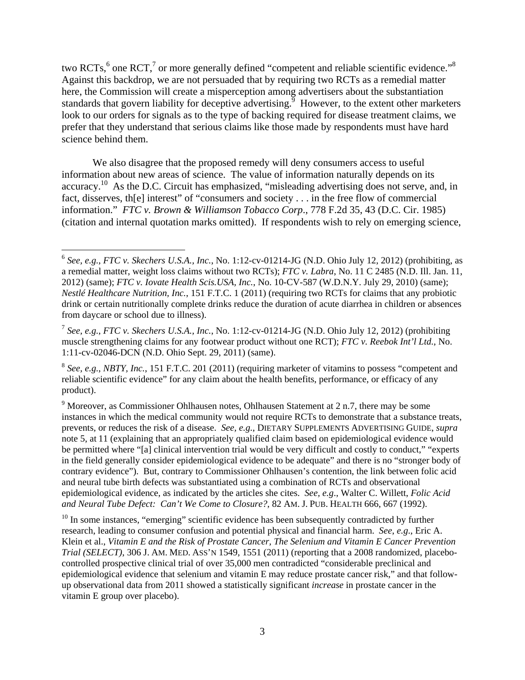two RCTs,<sup>6</sup> one RCT,<sup>7</sup> or more generally defined "competent and reliable scientific evidence."<sup>8</sup> Against this backdrop, we are not persuaded that by requiring two RCTs as a remedial matter here, the Commission will create a misperception among advertisers about the substantiation standards that govern liability for deceptive advertising.  $\frac{9}{9}$  However, to the extent other marketers look to our orders for signals as to the type of backing required for disease treatment claims, we prefer that they understand that serious claims like those made by respondents must have hard science behind them.

We also disagree that the proposed remedy will deny consumers access to useful information about new areas of science. The value of information naturally depends on its accuracy.10 As the D.C. Circuit has emphasized, "misleading advertising does not serve, and, in fact, disserves, th[e] interest" of "consumers and society . . . in the free flow of commercial information." *FTC v. Brown & Williamson Tobacco Corp*., 778 F.2d 35, 43 (D.C. Cir. 1985) (citation and internal quotation marks omitted). If respondents wish to rely on emerging science,

<sup>6</sup> *See, e.g.*, *FTC v. Skechers U.S.A., Inc.*, No. 1:12-cv-01214-JG (N.D. Ohio July 12, 2012) (prohibiting, as a remedial matter, weight loss claims without two RCTs); *FTC v. Labra*, No. 11 C 2485 (N.D. Ill. Jan. 11, 2012) (same); *FTC v. Iovate Health Scis.USA, Inc.*, No. 10-CV-587 (W.D.N.Y. July 29, 2010) (same); *Nestlé Healthcare Nutrition, Inc.*, 151 F.T.C. 1 (2011) (requiring two RCTs for claims that any probiotic drink or certain nutritionally complete drinks reduce the duration of acute diarrhea in children or absences from daycare or school due to illness).

<sup>7</sup> *See, e.g.*, *FTC v. Skechers U.S.A., Inc.*, No. 1:12-cv-01214-JG (N.D. Ohio July 12, 2012) (prohibiting muscle strengthening claims for any footwear product without one RCT); *FTC v. Reebok Int'l Ltd.*, No. 1:11-cv-02046-DCN (N.D. Ohio Sept. 29, 2011) (same).

<sup>8</sup> *See, e.g.*, *NBTY, Inc.*, 151 F.T.C. 201 (2011) (requiring marketer of vitamins to possess "competent and reliable scientific evidence" for any claim about the health benefits, performance, or efficacy of any product).

 $9$  Moreover, as Commissioner Ohlhausen notes, Ohlhausen Statement at 2 n.7, there may be some instances in which the medical community would not require RCTs to demonstrate that a substance treats, prevents, or reduces the risk of a disease. *See, e.g.*, DIETARY SUPPLEMENTS ADVERTISING GUIDE, *supra* note 5, at 11 (explaining that an appropriately qualified claim based on epidemiological evidence would be permitted where "[a] clinical intervention trial would be very difficult and costly to conduct," "experts in the field generally consider epidemiological evidence to be adequate" and there is no "stronger body of contrary evidence"). But, contrary to Commissioner Ohlhausen's contention, the link between folic acid and neural tube birth defects was substantiated using a combination of RCTs and observational epidemiological evidence, as indicated by the articles she cites. *See, e.g*., Walter C. Willett, *Folic Acid and Neural Tube Defect: Can't We Come to Closure?*, 82 AM. J. PUB. HEALTH 666, 667 (1992).

 $10$  In some instances, "emerging" scientific evidence has been subsequently contradicted by further research, leading to consumer confusion and potential physical and financial harm. *See*, *e.g*., Eric A. Klein et al., *Vitamin E and the Risk of Prostate Cancer, The Selenium and Vitamin E Cancer Prevention Trial (SELECT)*, 306 J. AM. MED. ASS'N 1549, 1551 (2011) (reporting that a 2008 randomized, placebocontrolled prospective clinical trial of over 35,000 men contradicted "considerable preclinical and epidemiological evidence that selenium and vitamin E may reduce prostate cancer risk," and that followup observational data from 2011 showed a statistically significant *increase* in prostate cancer in the vitamin E group over placebo).